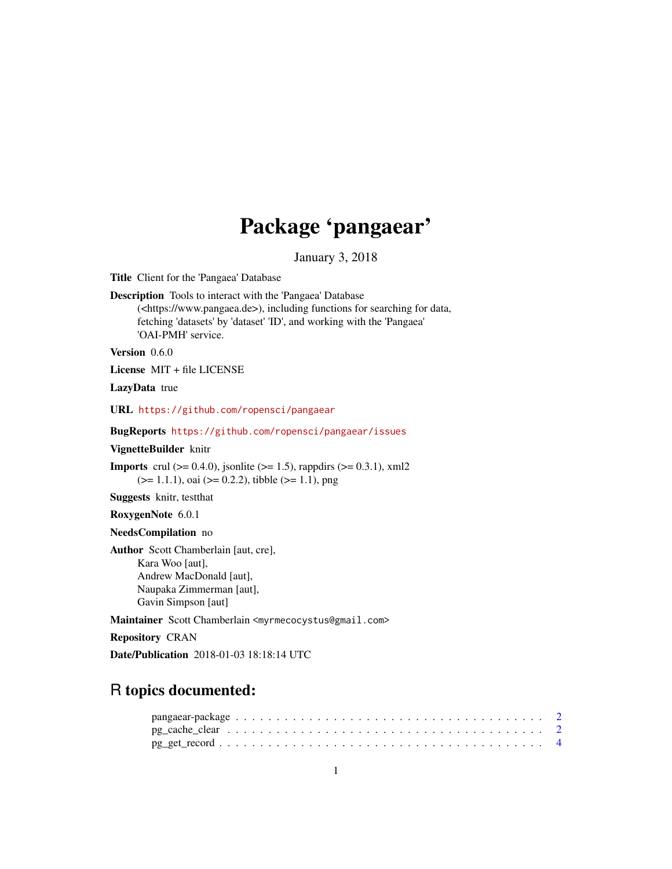## Package 'pangaear'

January 3, 2018

<span id="page-0-0"></span>Title Client for the 'Pangaea' Database

Description Tools to interact with the 'Pangaea' Database (<https://www.pangaea.de>), including functions for searching for data, fetching 'datasets' by 'dataset' 'ID', and working with the 'Pangaea' 'OAI-PMH' service.

Version 0.6.0

License MIT + file LICENSE

LazyData true

URL <https://github.com/ropensci/pangaear>

BugReports <https://github.com/ropensci/pangaear/issues>

VignetteBuilder knitr

**Imports** crul ( $> = 0.4.0$ ), jsonlite ( $> = 1.5$ ), rappdirs ( $> = 0.3.1$ ), xml2  $(>= 1.1.1)$ , oai  $(>= 0.2.2)$ , tibble  $(>= 1.1)$ , png

Suggests knitr, testthat

RoxygenNote 6.0.1

NeedsCompilation no

Author Scott Chamberlain [aut, cre], Kara Woo [aut], Andrew MacDonald [aut], Naupaka Zimmerman [aut], Gavin Simpson [aut]

Maintainer Scott Chamberlain <myrmecocystus@gmail.com>

Repository CRAN

Date/Publication 2018-01-03 18:18:14 UTC

## R topics documented: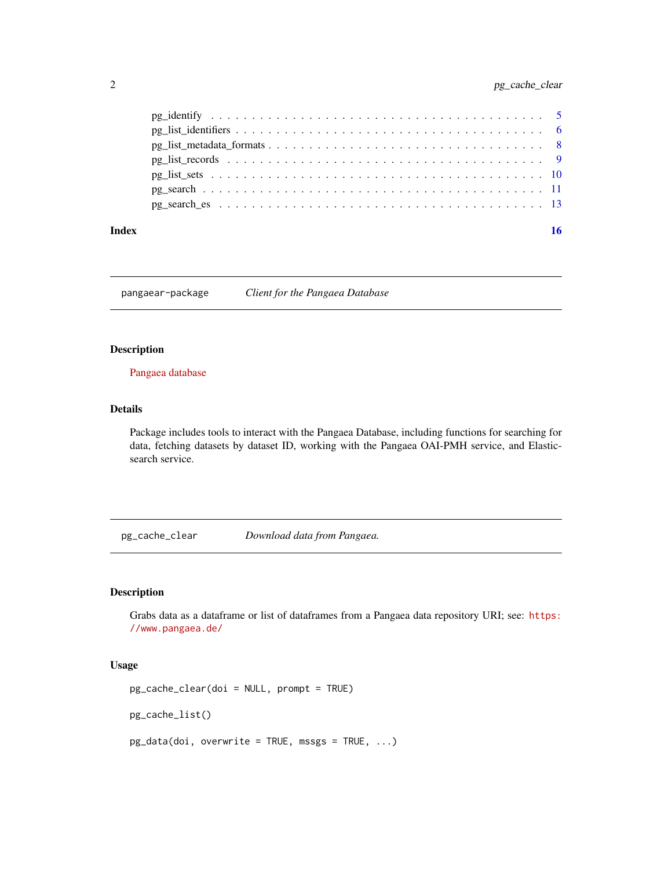<span id="page-1-0"></span>

#### **Index** and the contract of the contract of the contract of the contract of the contract of the contract of the contract of the contract of the contract of the contract of the contract of the contract of the contract of th

pangaear-package *Client for the Pangaea Database*

## Description

[Pangaea database](https://www.pangaea.de/)

#### Details

Package includes tools to interact with the Pangaea Database, including functions for searching for data, fetching datasets by dataset ID, working with the Pangaea OAI-PMH service, and Elasticsearch service.

pg\_cache\_clear *Download data from Pangaea.*

## Description

Grabs data as a dataframe or list of dataframes from a Pangaea data repository URI; see: [https:](https://www.pangaea.de/) [//www.pangaea.de/](https://www.pangaea.de/)

#### Usage

```
pg_cache_clear(doi = NULL, prompt = TRUE)
```
pg\_cache\_list()

 $pg\_data(doi, overwrite = TRUE, message = TRUE, ...)$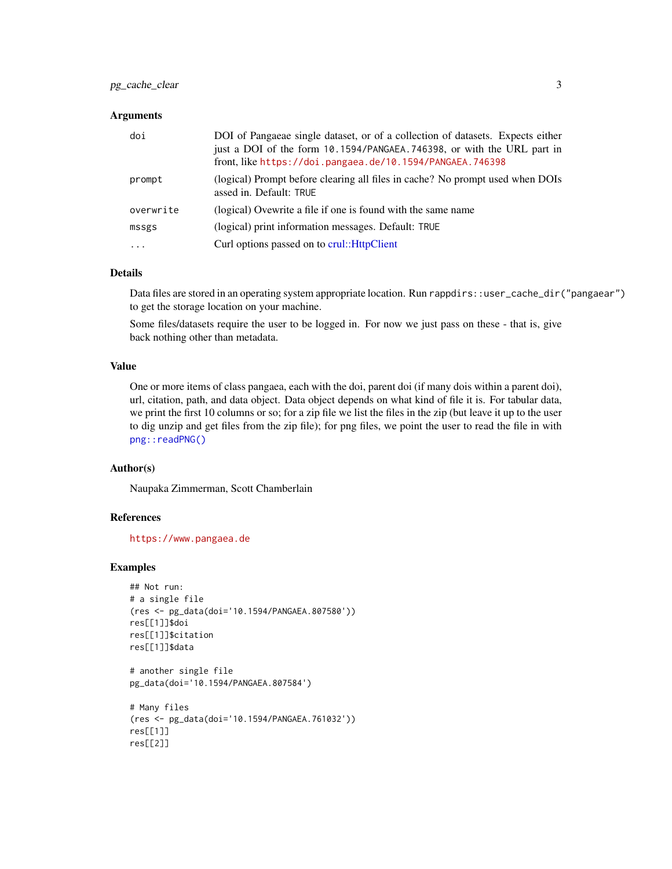## <span id="page-2-0"></span>pg\_cache\_clear 3

#### **Arguments**

| doi       | DOI of Pangaeae single dataset, or of a collection of datasets. Expects either<br>just a DOI of the form 10.1594/PANGAEA.746398, or with the URL part in<br>front, like https://doi.pangaea.de/10.1594/PANGAEA.746398 |
|-----------|-----------------------------------------------------------------------------------------------------------------------------------------------------------------------------------------------------------------------|
| prompt    | (logical) Prompt before clearing all files in cache? No prompt used when DOIs<br>assed in. Default: TRUE                                                                                                              |
| overwrite | (logical) Ovewrite a file if one is found with the same name                                                                                                                                                          |
| mssgs     | (logical) print information messages. Default: TRUE                                                                                                                                                                   |
| $\ddotsc$ | Curl options passed on to crul:: HttpClient                                                                                                                                                                           |

#### Details

Data files are stored in an operating system appropriate location. Run rappdirs::user\_cache\_dir("pangaear") to get the storage location on your machine.

Some files/datasets require the user to be logged in. For now we just pass on these - that is, give back nothing other than metadata.

#### Value

One or more items of class pangaea, each with the doi, parent doi (if many dois within a parent doi), url, citation, path, and data object. Data object depends on what kind of file it is. For tabular data, we print the first 10 columns or so; for a zip file we list the files in the zip (but leave it up to the user to dig unzip and get files from the zip file); for png files, we point the user to read the file in with [png::readPNG\(\)](#page-0-0)

#### Author(s)

Naupaka Zimmerman, Scott Chamberlain

#### References

<https://www.pangaea.de>

## Examples

```
## Not run:
# a single file
(res <- pg_data(doi='10.1594/PANGAEA.807580'))
res[[1]]$doi
res[[1]]$citation
res[[1]]$data
```

```
# another single file
pg_data(doi='10.1594/PANGAEA.807584')
```

```
# Many files
(res <- pg_data(doi='10.1594/PANGAEA.761032'))
res[[1]]
res[[2]]
```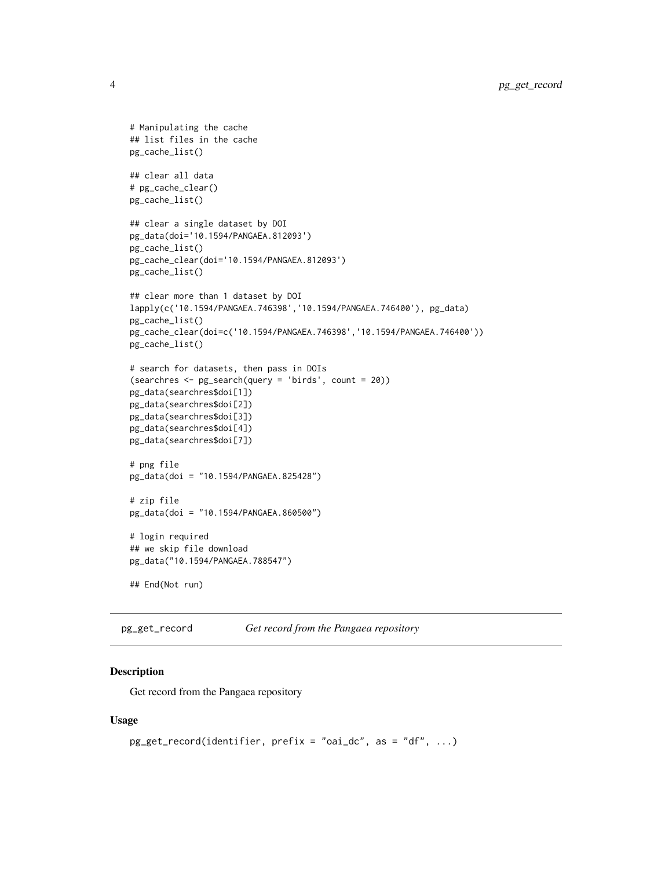```
# Manipulating the cache
## list files in the cache
pg_cache_list()
## clear all data
# pg_cache_clear()
pg_cache_list()
## clear a single dataset by DOI
pg_data(doi='10.1594/PANGAEA.812093')
pg_cache_list()
pg_cache_clear(doi='10.1594/PANGAEA.812093')
pg_cache_list()
## clear more than 1 dataset by DOI
lapply(c('10.1594/PANGAEA.746398','10.1594/PANGAEA.746400'), pg_data)
pg_cache_list()
pg_cache_clear(doi=c('10.1594/PANGAEA.746398','10.1594/PANGAEA.746400'))
pg_cache_list()
# search for datasets, then pass in DOIs
(searchres <- pg_search(query = 'birds', count = 20))
pg_data(searchres$doi[1])
pg_data(searchres$doi[2])
pg_data(searchres$doi[3])
pg_data(searchres$doi[4])
pg_data(searchres$doi[7])
# png file
pg_data(doi = "10.1594/PANGAEA.825428")
# zip file
pg_data(doi = "10.1594/PANGAEA.860500")
# login required
## we skip file download
pg_data("10.1594/PANGAEA.788547")
## End(Not run)
```
<span id="page-3-1"></span>pg\_get\_record *Get record from the Pangaea repository*

#### Description

Get record from the Pangaea repository

#### Usage

```
pg_get_record(identifier, prefix = "oai_dc", as = "df", ...)
```
<span id="page-3-0"></span>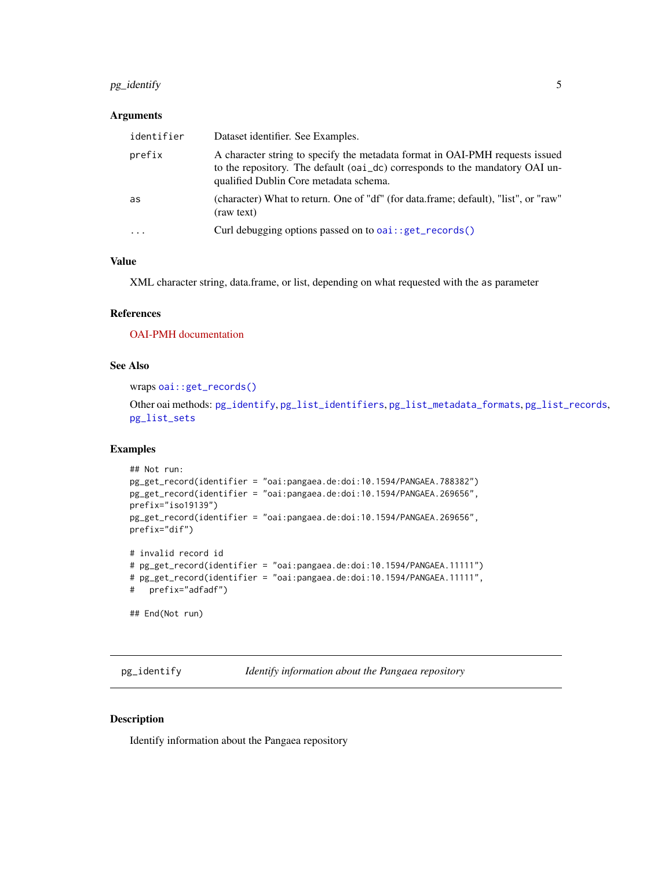## <span id="page-4-0"></span>pg\_identify 5

#### Arguments

| identifier | Dataset identifier. See Examples.                                                                                                                                                                      |
|------------|--------------------------------------------------------------------------------------------------------------------------------------------------------------------------------------------------------|
| prefix     | A character string to specify the metadata format in OAI-PMH requests issued<br>to the repository. The default (oai_dc) corresponds to the mandatory OAI un-<br>qualified Dublin Core metadata schema. |
| as         | (character) What to return. One of "df" (for data.frame; default), "list", or "raw"<br>(raw text)                                                                                                      |
| $\cdots$   | Curl debugging options passed on to $oai$ : : $get\_records()$                                                                                                                                         |

## Value

XML character string, data.frame, or list, depending on what requested with the as parameter

## References

[OAI-PMH documentation](https://www.openarchives.org/pmh/)

#### See Also

wraps [oai::get\\_records\(\)](#page-0-0)

Other oai methods: [pg\\_identify](#page-4-1), [pg\\_list\\_identifiers](#page-5-1), [pg\\_list\\_metadata\\_formats](#page-7-1), [pg\\_list\\_records](#page-8-1), [pg\\_list\\_sets](#page-9-1)

#### Examples

```
## Not run:
pg_get_record(identifier = "oai:pangaea.de:doi:10.1594/PANGAEA.788382")
pg_get_record(identifier = "oai:pangaea.de:doi:10.1594/PANGAEA.269656",
prefix="iso19139")
pg_get_record(identifier = "oai:pangaea.de:doi:10.1594/PANGAEA.269656",
prefix="dif")
# invalid record id
# pg_get_record(identifier = "oai:pangaea.de:doi:10.1594/PANGAEA.11111")
# pg_get_record(identifier = "oai:pangaea.de:doi:10.1594/PANGAEA.11111",
# prefix="adfadf")
## End(Not run)
```
<span id="page-4-1"></span>pg\_identify *Identify information about the Pangaea repository*

## Description

Identify information about the Pangaea repository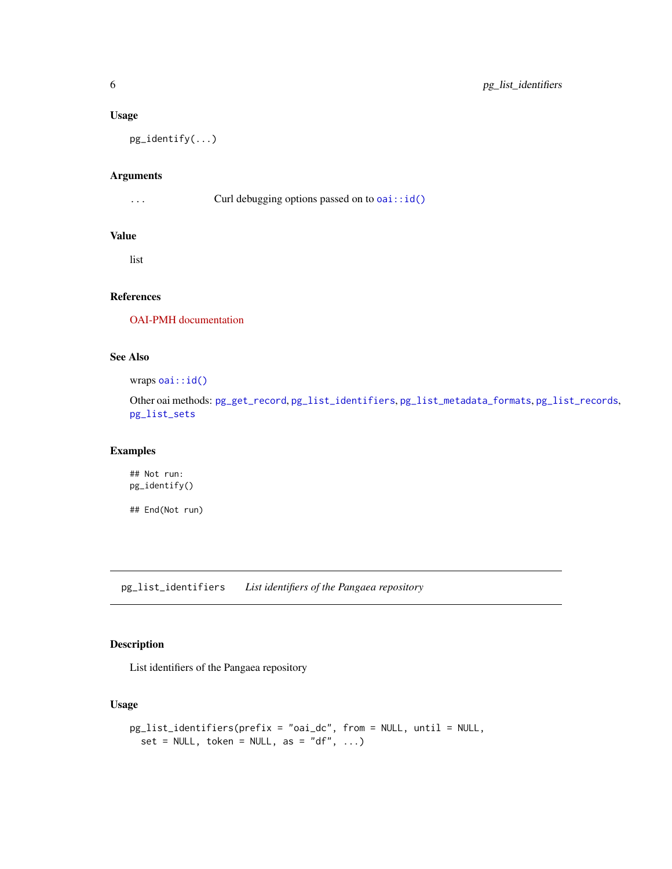#### <span id="page-5-0"></span>Usage

pg\_identify(...)

## Arguments

... Curl debugging options passed on to [oai::id\(\)](#page-0-0)

## Value

list

## References

[OAI-PMH documentation](https://www.openarchives.org/pmh/)

## See Also

wraps [oai::id\(\)](#page-0-0)

Other oai methods: [pg\\_get\\_record](#page-3-1), [pg\\_list\\_identifiers](#page-5-1), [pg\\_list\\_metadata\\_formats](#page-7-1), [pg\\_list\\_records](#page-8-1), [pg\\_list\\_sets](#page-9-1)

## Examples

## Not run: pg\_identify()

## End(Not run)

<span id="page-5-1"></span>pg\_list\_identifiers *List identifiers of the Pangaea repository*

## Description

List identifiers of the Pangaea repository

## Usage

```
pg_list_identifiers(prefix = "oai_dc", from = NULL, until = NULL,
 set = NULL, token = NULL, as = "df", ...)
```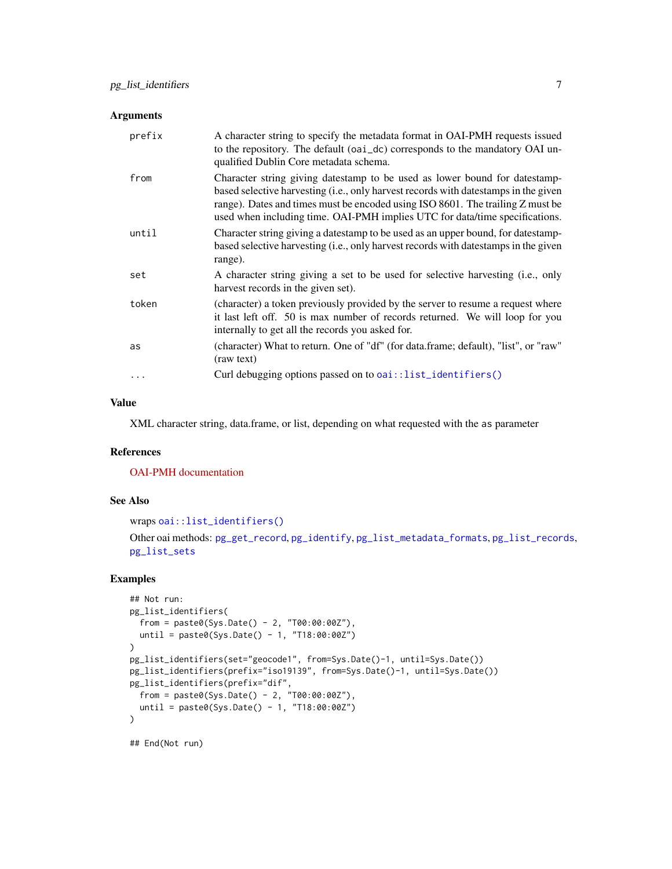#### <span id="page-6-0"></span>Arguments

| prefix     | A character string to specify the metadata format in OAI-PMH requests issued<br>to the repository. The default (oai_dc) corresponds to the mandatory OAI un-<br>qualified Dublin Core metadata schema.                                                                                                                             |
|------------|------------------------------------------------------------------------------------------------------------------------------------------------------------------------------------------------------------------------------------------------------------------------------------------------------------------------------------|
| from       | Character string giving datestamp to be used as lower bound for datestamp-<br>based selective harvesting (i.e., only harvest records with datestamps in the given<br>range). Dates and times must be encoded using ISO 8601. The trailing Z must be<br>used when including time. OAI-PMH implies UTC for data/time specifications. |
| until      | Character string giving a datestamp to be used as an upper bound, for datestamp-<br>based selective harvesting (i.e., only harvest records with datestamps in the given<br>range).                                                                                                                                                 |
| set        | A character string giving a set to be used for selective harvesting (i.e., only<br>harvest records in the given set).                                                                                                                                                                                                              |
| token      | (character) a token previously provided by the server to resume a request where<br>it last left off. 50 is max number of records returned. We will loop for you<br>internally to get all the records you asked for.                                                                                                                |
| as         | (character) What to return. One of "df" (for data.frame; default), "list", or "raw"<br>(raw text)                                                                                                                                                                                                                                  |
| $\ddots$ . | Curl debugging options passed on to oai::list_identifiers()                                                                                                                                                                                                                                                                        |

## Value

XML character string, data.frame, or list, depending on what requested with the as parameter

## References

[OAI-PMH documentation](https://www.openarchives.org/pmh/)

#### See Also

```
wraps oai::list_identifiers()
```
Other oai methods: [pg\\_get\\_record](#page-3-1), [pg\\_identify](#page-4-1), [pg\\_list\\_metadata\\_formats](#page-7-1), [pg\\_list\\_records](#page-8-1), [pg\\_list\\_sets](#page-9-1)

## Examples

```
## Not run:
pg_list_identifiers(
  from = paste0(Sys.Date() - 2, "T00:00:00Z"),until = paste0(Sys.Date() - 1, "T18:00:00Z")
\mathcal{L}pg_list_identifiers(set="geocode1", from=Sys.Date()-1, until=Sys.Date())
pg_list_identifiers(prefix="iso19139", from=Sys.Date()-1, until=Sys.Date())
pg_list_identifiers(prefix="dif",
  from = paste0(Sys.Date() - 2, "T00:00:00Z"),
  until = paste0(Sys.Date() - 1, "T18:00:00Z")
\mathcal{L}
```
## End(Not run)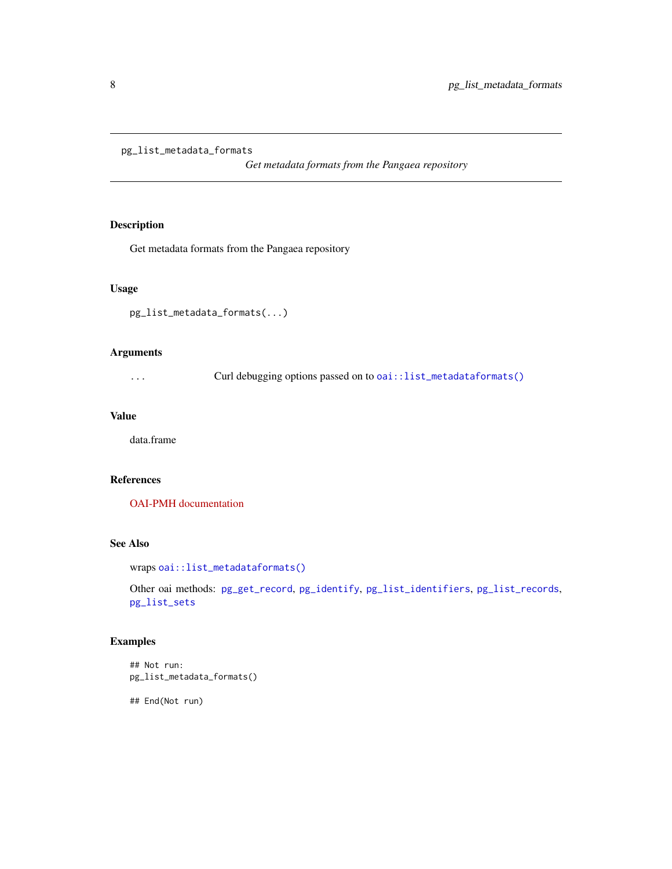## <span id="page-7-1"></span><span id="page-7-0"></span>pg\_list\_metadata\_formats

*Get metadata formats from the Pangaea repository*

## Description

Get metadata formats from the Pangaea repository

#### Usage

```
pg_list_metadata_formats(...)
```
## Arguments

... Curl debugging options passed on to [oai::list\\_metadataformats\(\)](#page-0-0)

## Value

data.frame

#### References

[OAI-PMH documentation](https://www.openarchives.org/pmh/)

## See Also

```
wraps oai::list_metadataformats()
```
Other oai methods: [pg\\_get\\_record](#page-3-1), [pg\\_identify](#page-4-1), [pg\\_list\\_identifiers](#page-5-1), [pg\\_list\\_records](#page-8-1), [pg\\_list\\_sets](#page-9-1)

## Examples

```
## Not run:
pg_list_metadata_formats()
```
## End(Not run)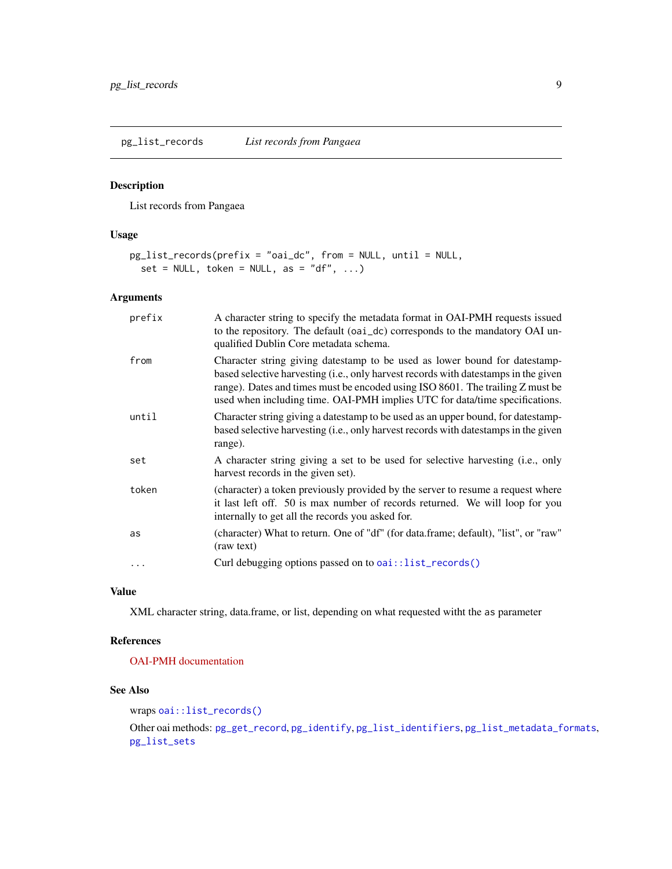<span id="page-8-1"></span><span id="page-8-0"></span>pg\_list\_records *List records from Pangaea*

## Description

List records from Pangaea

## Usage

```
pg_list_records(prefix = "oai_dc", from = NULL, until = NULL,
 set = NULL, token = NULL, as = "df", ...)
```
#### Arguments

| prefix | A character string to specify the metadata format in OAI-PMH requests issued<br>to the repository. The default (oai_dc) corresponds to the mandatory OAI un-<br>qualified Dublin Core metadata schema.                                                                                                                             |
|--------|------------------------------------------------------------------------------------------------------------------------------------------------------------------------------------------------------------------------------------------------------------------------------------------------------------------------------------|
| from   | Character string giving datestamp to be used as lower bound for datestamp-<br>based selective harvesting (i.e., only harvest records with datestamps in the given<br>range). Dates and times must be encoded using ISO 8601. The trailing Z must be<br>used when including time. OAI-PMH implies UTC for data/time specifications. |
| until  | Character string giving a datestamp to be used as an upper bound, for datestamp-<br>based selective harvesting (i.e., only harvest records with datestamps in the given<br>range).                                                                                                                                                 |
| set    | A character string giving a set to be used for selective harvesting (i.e., only<br>harvest records in the given set).                                                                                                                                                                                                              |
| token  | (character) a token previously provided by the server to resume a request where<br>it last left off. 50 is max number of records returned. We will loop for you<br>internally to get all the records you asked for.                                                                                                                |
| as     | (character) What to return. One of "df" (for data.frame; default), "list", or "raw"<br>(raw text)                                                                                                                                                                                                                                  |
| .      | Curl debugging options passed on to $oai::list\_records()$                                                                                                                                                                                                                                                                         |

## Value

XML character string, data.frame, or list, depending on what requested witht the as parameter

## References

[OAI-PMH documentation](https://www.openarchives.org/pmh/)

#### See Also

wraps [oai::list\\_records\(\)](#page-0-0)

Other oai methods: [pg\\_get\\_record](#page-3-1), [pg\\_identify](#page-4-1), [pg\\_list\\_identifiers](#page-5-1), [pg\\_list\\_metadata\\_formats](#page-7-1), [pg\\_list\\_sets](#page-9-1)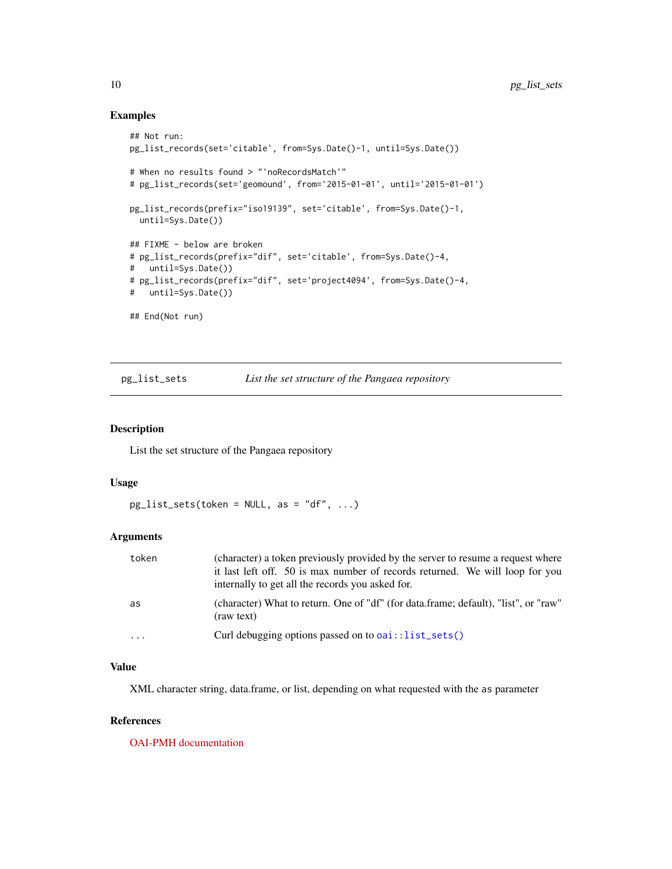#### Examples

```
## Not run:
pg_list_records(set='citable', from=Sys.Date()-1, until=Sys.Date())
# When no results found > "'noRecordsMatch'"
# pg_list_records(set='geomound', from='2015-01-01', until='2015-01-01')
pg_list_records(prefix="iso19139", set='citable', from=Sys.Date()-1,
 until=Sys.Date())
## FIXME - below are broken
# pg_list_records(prefix="dif", set='citable', from=Sys.Date()-4,
# until=Sys.Date())
# pg_list_records(prefix="dif", set='project4094', from=Sys.Date()-4,
# until=Sys.Date())
## End(Not run)
```
<span id="page-9-1"></span>pg\_list\_sets *List the set structure of the Pangaea repository*

#### Description

List the set structure of the Pangaea repository

#### Usage

```
pg\_list\_sets(token = NULL, as = "df", ...)
```
## Arguments

| token | (character) a token previously provided by the server to resume a request where<br>it last left off. 50 is max number of records returned. We will loop for you<br>internally to get all the records you asked for. |
|-------|---------------------------------------------------------------------------------------------------------------------------------------------------------------------------------------------------------------------|
| as    | (character) What to return. One of "df" (for data.frame; default), "list", or "raw"<br>(raw text)                                                                                                                   |
| .     | Curl debugging options passed on to $oai$ :: list_sets()                                                                                                                                                            |

#### Value

XML character string, data.frame, or list, depending on what requested with the as parameter

#### References

[OAI-PMH documentation](https://www.openarchives.org/pmh/)

<span id="page-9-0"></span>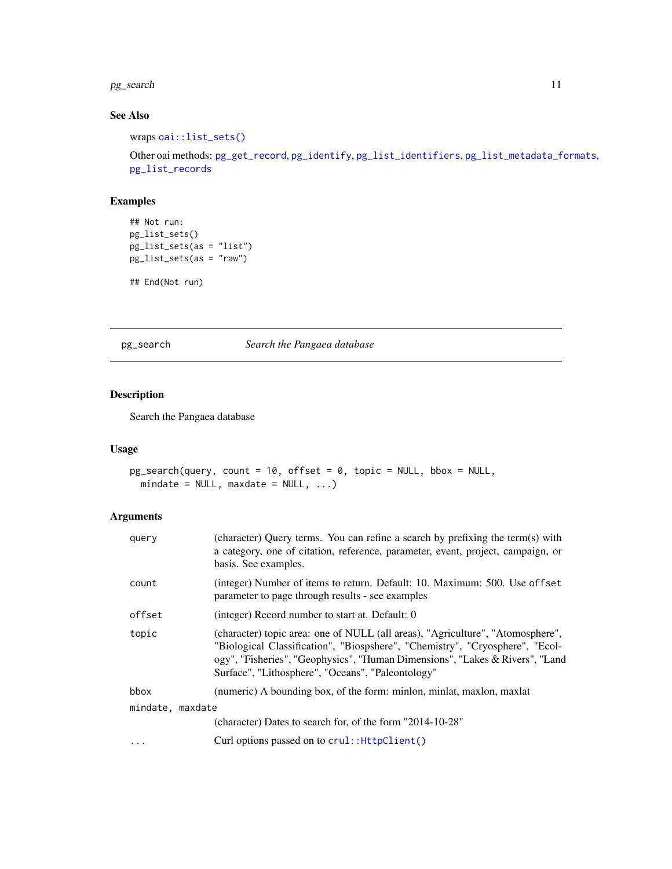## <span id="page-10-0"></span>pg\_search 11

## See Also

wraps [oai::list\\_sets\(\)](#page-0-0)

Other oai methods: [pg\\_get\\_record](#page-3-1), [pg\\_identify](#page-4-1), [pg\\_list\\_identifiers](#page-5-1), [pg\\_list\\_metadata\\_formats](#page-7-1), [pg\\_list\\_records](#page-8-1)

## Examples

```
## Not run:
pg_list_sets()
pg_list_sets(as = "list")
pg_list_sets(as = "raw")
```

```
## End(Not run)
```
<span id="page-10-1"></span>pg\_search *Search the Pangaea database*

## Description

Search the Pangaea database

#### Usage

```
pg_search(query, count = 10, offset = 0, topic = NULL, bbox = NULL,
 mindate = NULL, maxdate = NULL, ...)
```
## Arguments

| query            | (character) Query terms. You can refine a search by prefixing the term(s) with<br>a category, one of citation, reference, parameter, event, project, campaign, or<br>basis. See examples.                                                                                                           |
|------------------|-----------------------------------------------------------------------------------------------------------------------------------------------------------------------------------------------------------------------------------------------------------------------------------------------------|
| count            | (integer) Number of items to return. Default: 10. Maximum: 500. Use offset<br>parameter to page through results - see examples                                                                                                                                                                      |
| offset           | (integer) Record number to start at. Default: 0                                                                                                                                                                                                                                                     |
| topic            | (character) topic area: one of NULL (all areas), "Agriculture", "Atomosphere",<br>"Biological Classification", "Biospshere", "Chemistry", "Cryosphere", "Ecol-<br>ogy", "Fisheries", "Geophysics", "Human Dimensions", "Lakes & Rivers", "Land<br>Surface", "Lithosphere", "Oceans", "Paleontology" |
| bbox             | (numeric) A bounding box, of the form: minlon, minlat, maxlon, maxlat                                                                                                                                                                                                                               |
| mindate, maxdate |                                                                                                                                                                                                                                                                                                     |
|                  | (character) Dates to search for, of the form "2014-10-28"                                                                                                                                                                                                                                           |
| $\ddotsc$        | Curl options passed on to crul:: HttpClient()                                                                                                                                                                                                                                                       |
|                  |                                                                                                                                                                                                                                                                                                     |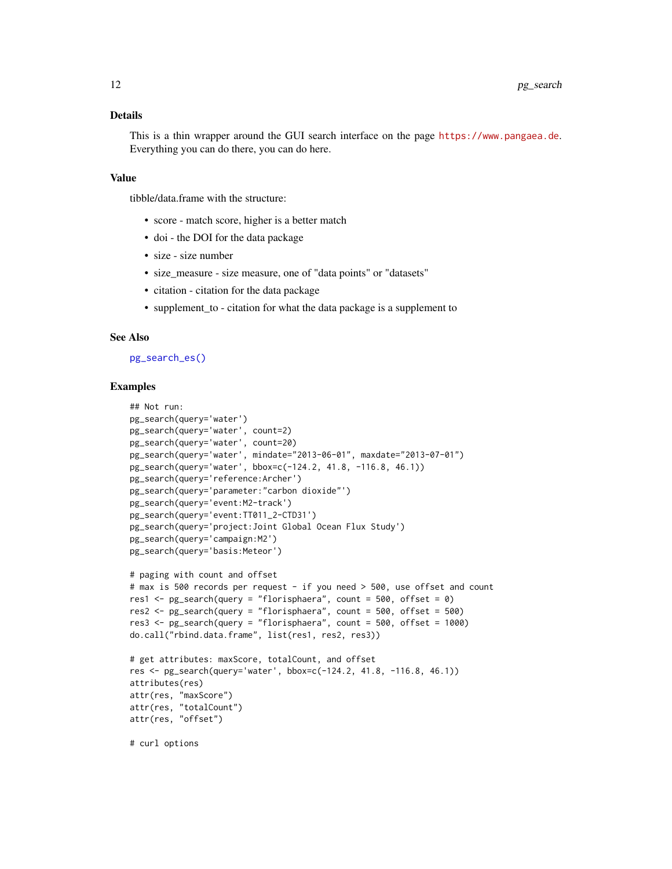#### <span id="page-11-0"></span>Details

This is a thin wrapper around the GUI search interface on the page <https://www.pangaea.de>. Everything you can do there, you can do here.

#### Value

tibble/data.frame with the structure:

- score match score, higher is a better match
- doi the DOI for the data package
- size size number
- size measure size measure, one of "data points" or "datasets"
- citation citation for the data package
- supplement\_to citation for what the data package is a supplement to

### See Also

#### [pg\\_search\\_es\(\)](#page-12-1)

#### Examples

```
## Not run:
pg_search(query='water')
pg_search(query='water', count=2)
pg_search(query='water', count=20)
pg_search(query='water', mindate="2013-06-01", maxdate="2013-07-01")
pg_search(query='water', bbox=c(-124.2, 41.8, -116.8, 46.1))
pg_search(query='reference:Archer')
pg_search(query='parameter:"carbon dioxide"')
pg_search(query='event:M2-track')
pg_search(query='event:TT011_2-CTD31')
pg_search(query='project:Joint Global Ocean Flux Study')
pg_search(query='campaign:M2')
pg_search(query='basis:Meteor')
# paging with count and offset
# max is 500 records per request - if you need > 500, use offset and count
res1 \leq- pg_search(query = "florisphaera", count = 500, offset = 0)
res2 <- pg_search(query = "florisphaera", count = 500, offset = 500)
res3 <- pg_search(query = "florisphaera", count = 500, offset = 1000)
do.call("rbind.data.frame", list(res1, res2, res3))
# get attributes: maxScore, totalCount, and offset
res <- pg_search(query='water', bbox=c(-124.2, 41.8, -116.8, 46.1))
attributes(res)
attr(res, "maxScore")
attr(res, "totalCount")
attr(res, "offset")
# curl options
```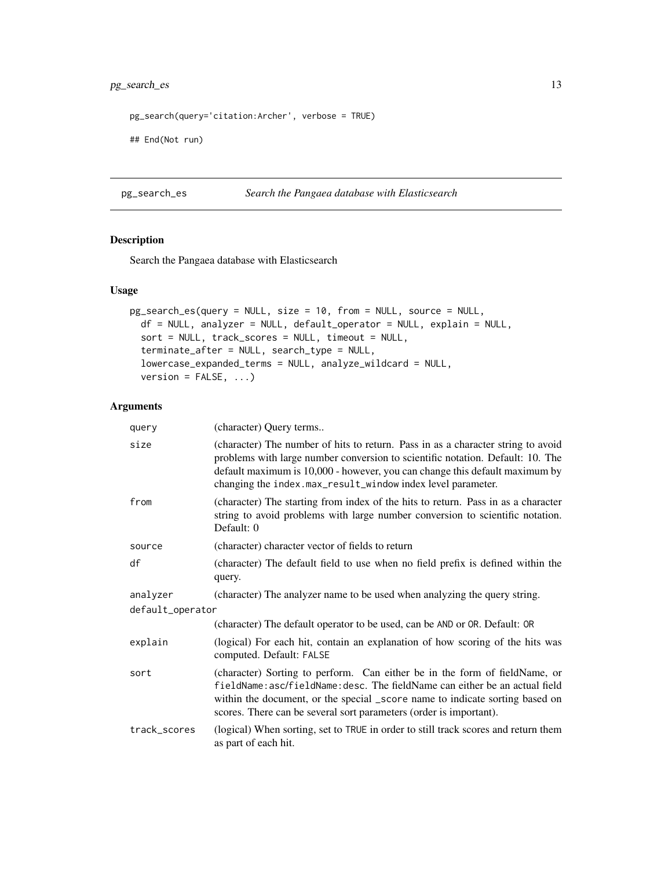## <span id="page-12-0"></span>pg\_search\_es 13

```
pg_search(query='citation:Archer', verbose = TRUE)
```
## End(Not run)

#### <span id="page-12-1"></span>pg\_search\_es *Search the Pangaea database with Elasticsearch*

#### Description

Search the Pangaea database with Elasticsearch

### Usage

```
pg_search_es(query = NULL, size = 10, from = NULL, source = NULL,
 df = NULL, analyzer = NULL, default_operator = NULL, explain = NULL,
  sort = NULL, track_scores = NULL, timeout = NULL,
  terminate_after = NULL, search_type = NULL,
  lowercase_expanded_terms = NULL, analyze_wildcard = NULL,
  version = FALSE, ...)
```
#### Arguments

| query            | (character) Query terms                                                                                                                                                                                                                                                                                          |
|------------------|------------------------------------------------------------------------------------------------------------------------------------------------------------------------------------------------------------------------------------------------------------------------------------------------------------------|
| size             | (character) The number of hits to return. Pass in as a character string to avoid<br>problems with large number conversion to scientific notation. Default: 10. The<br>default maximum is 10,000 - however, you can change this default maximum by<br>changing the index.max_result_window index level parameter. |
| from             | (character) The starting from index of the hits to return. Pass in as a character<br>string to avoid problems with large number conversion to scientific notation.<br>Default: 0                                                                                                                                 |
| source           | (character) character vector of fields to return                                                                                                                                                                                                                                                                 |
| df               | (character) The default field to use when no field prefix is defined within the<br>query.                                                                                                                                                                                                                        |
| analyzer         | (character) The analyzer name to be used when analyzing the query string.                                                                                                                                                                                                                                        |
| default_operator |                                                                                                                                                                                                                                                                                                                  |
|                  | (character) The default operator to be used, can be AND or OR. Default: OR                                                                                                                                                                                                                                       |
| explain          | (logical) For each hit, contain an explanation of how scoring of the hits was<br>computed. Default: FALSE                                                                                                                                                                                                        |
| sort             | (character) Sorting to perform. Can either be in the form of fieldName, or<br>fieldName: asc/fieldName: desc. The fieldName can either be an actual field<br>within the document, or the special _score name to indicate sorting based on<br>scores. There can be several sort parameters (order is important).  |
| track_scores     | (logical) When sorting, set to TRUE in order to still track scores and return them<br>as part of each hit.                                                                                                                                                                                                       |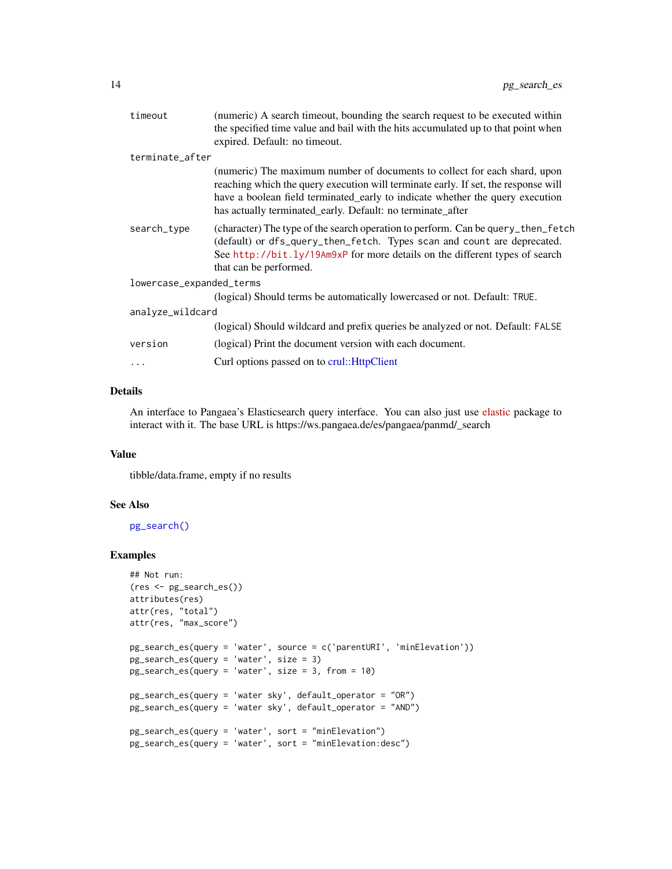<span id="page-13-0"></span>

| timeout                  | (numeric) A search timeout, bounding the search request to be executed within                                                                                                                                                                                                                                  |
|--------------------------|----------------------------------------------------------------------------------------------------------------------------------------------------------------------------------------------------------------------------------------------------------------------------------------------------------------|
|                          | the specified time value and bail with the hits accumulated up to that point when                                                                                                                                                                                                                              |
|                          | expired. Default: no timeout.                                                                                                                                                                                                                                                                                  |
| terminate_after          |                                                                                                                                                                                                                                                                                                                |
|                          | (numeric) The maximum number of documents to collect for each shard, upon<br>reaching which the query execution will terminate early. If set, the response will<br>have a boolean field terminated_early to indicate whether the query execution<br>has actually terminated_early. Default: no terminate_after |
| search_type              | (character) The type of the search operation to perform. Can be query_then_fetch<br>(default) or dfs_query_then_fetch. Types scan and count are deprecated.<br>See http://bit.ly/19Am9xP for more details on the different types of search<br>that can be performed.                                           |
| lowercase_expanded_terms |                                                                                                                                                                                                                                                                                                                |
|                          | (logical) Should terms be automatically lowercased or not. Default: TRUE.                                                                                                                                                                                                                                      |
| analyze_wildcard         |                                                                                                                                                                                                                                                                                                                |
|                          | (logical) Should wildcard and prefix queries be analyzed or not. Default: FALSE                                                                                                                                                                                                                                |
| version                  | (logical) Print the document version with each document.                                                                                                                                                                                                                                                       |
| $\ddots$                 | Curl options passed on to crul:: HttpClient                                                                                                                                                                                                                                                                    |
|                          |                                                                                                                                                                                                                                                                                                                |

#### Details

An interface to Pangaea's Elasticsearch query interface. You can also just use [elastic](https://github.com/ropensci/elastic) package to interact with it. The base URL is https://ws.pangaea.de/es/pangaea/panmd/\_search

#### Value

tibble/data.frame, empty if no results

## See Also

[pg\\_search\(\)](#page-10-1)

## Examples

```
## Not run:
(res <- pg_search_es())
attributes(res)
attr(res, "total")
attr(res, "max_score")
pg_search_es(query = 'water', source = c('parentURI', 'minElevation'))
pg_search_es(query = 'water', size = 3)
pg_search_es(query = 'water', size = 3, from = 10)
pg_search_es(query = 'water sky', default_operator = "OR")
pg_search_es(query = 'water sky', default_operator = "AND")
pg_search_es(query = 'water', sort = "minElevation")
pg_search_es(query = 'water', sort = "minElevation:desc")
```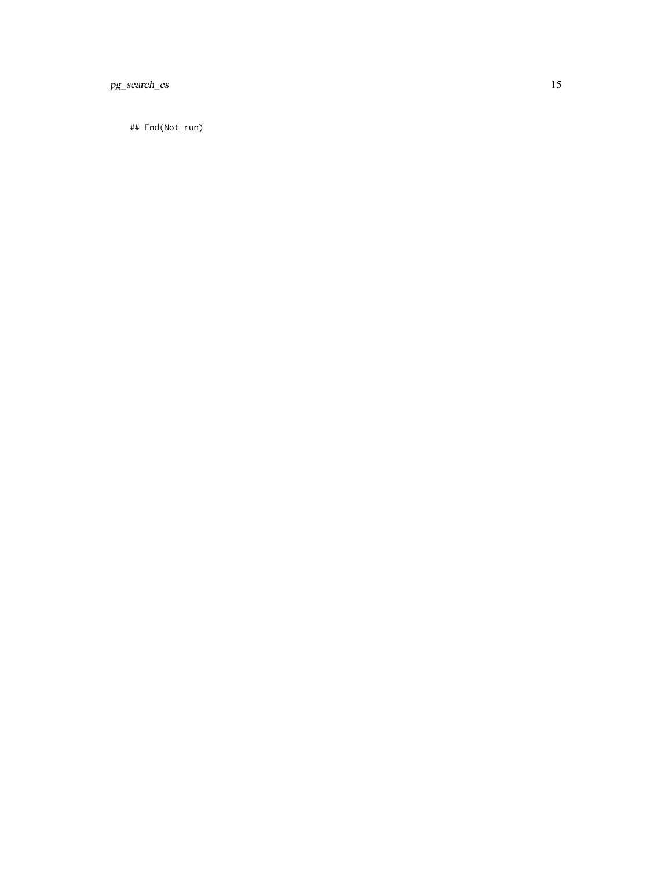pg\_search\_es 15

## End(Not run)